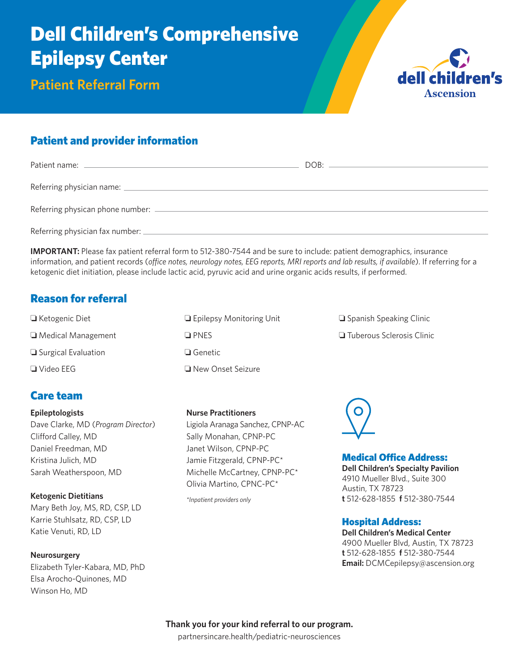# Dell Children's Comprehensive Epilepsy Center

**Patient Referral Form**



# Patient and provider information

| Referring physician fax number: __________ |  |
|--------------------------------------------|--|

**IMPORTANT:** Please fax patient referral form to 512-380-7544 and be sure to include: patient demographics, insurance information, and patient records (*office notes, neurology notes, EEG reports, MRI reports and lab results, if available*). If referring for a ketogenic diet initiation, please include lactic acid, pyruvic acid and urine organic acids results, if performed.

## Reason for referral

❏ Ketogenic Diet ❏ Medical Management ❏ Surgical Evaluation ❏ Video EEG

## Care team

## **Epileptologists**

Dave Clarke, MD (*Program Director*) Clifford Calley, MD Daniel Freedman, MD Kristina Julich, MD Sarah Weatherspoon, MD

**Ketogenic Dietitians** Mary Beth Joy, MS, RD, CSP, LD Karrie Stuhlsatz, RD, CSP, LD Katie Venuti, RD, LD

**Neurosurgery** Elizabeth Tyler-Kabara, MD, PhD Elsa Arocho-Quinones, MD

Winson Ho, MD

| <b>Epilepsy Monitoring Unit</b> |
|---------------------------------|
| $\square$ PNFS                  |
| $\square$ Genetic               |
| ⊔ New Onset Seizure             |

## **Nurse Practitioners**

Ligiola Aranaga Sanchez, CPNP-AC Sally Monahan, CPNP-PC Janet Wilson, CPNP-PC Jamie Fitzgerald, CPNP-PC\* Michelle McCartney, CPNP-PC\* Olivia Martino, CPNC-PC\*

*\*Inpatient providers only*

❏ Spanish Speaking Clinic

❏ Tuberous Sclerosis Clinic



## Medical Office Address:

**Dell Children's Specialty Pavilion** 4910 Mueller Blvd., Suite 300 Austin, TX 78723 **t** 512-628-1855 **f** 512-380-7544

## Hospital Address:

**Dell Children's Medical Center** 4900 Mueller Blvd, Austin, TX 78723 **t** 512-628-1855 **f** 512-380-7544 **Email:** DCMCepilepsy@ascension.org

**Thank you for your kind referral to our program.** partnersincare.health/pediatric-neurosciences